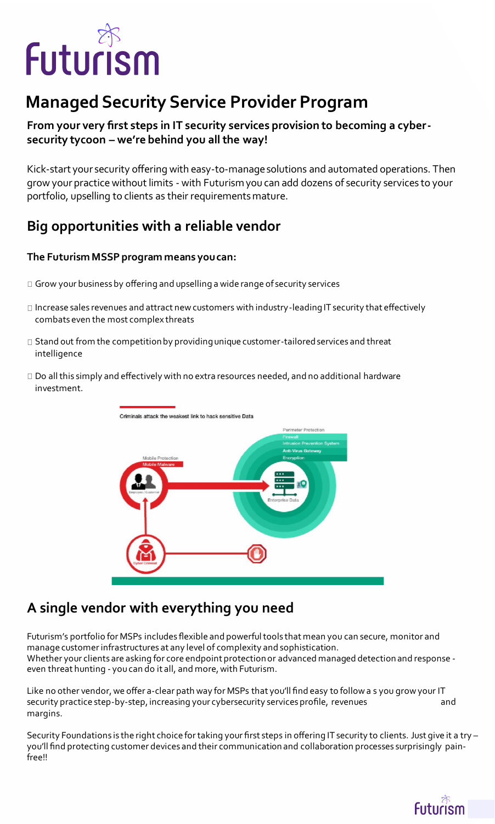

# **Managed Security Service Provider Program**

### **From your very first steps in IT security services provision to becoming a cybersecurity tycoon – we're behind you all the way!**

Kick-start your security offering with easy-to-manage solutions and automated operations. Then grow your practice without limits - with Futurism you can add dozens of security services to your portfolio, upselling to clients as their requirements mature.

## **Big opportunities with a reliable vendor**

- $\Box$  Grow your business by offering and upselling a wide range of security services
- $\Box$  Increase sales revenues and attract new customers with industry-leading IT security that effectively combats even the most complex threats
- $\Box$  Stand out from the competition by providing unique customer-tailored services and threat intelligence
- $\Box$  Do all this simply and effectively with no extra resources needed, and no additional hardware investment.



#### **The Futurism MSSP program means you can:**

## **A single vendor with everything you need**

Futurism's portfolio for MSPs includes flexible and powerful tools that mean you can secure, monitor and manage customer infrastructures at any level of complexity and sophistication. Whether your clients are asking for core endpoint protection or advanced managed detection and response even threat hunting - you can do it all, and more, with Futurism.

Like no other vendor, we offer a-clear path way for MSPs that you'll find easy to follow a s you grow your IT security practice step-by-step, increasing your cybersecurity services profile, revenues and margins.

Security Foundations is the right choice for taking your first steps in offering IT security to clients. Just give it a try – you'll find protecting customer devices and their communication and collaboration processes surprisingly painfree!!

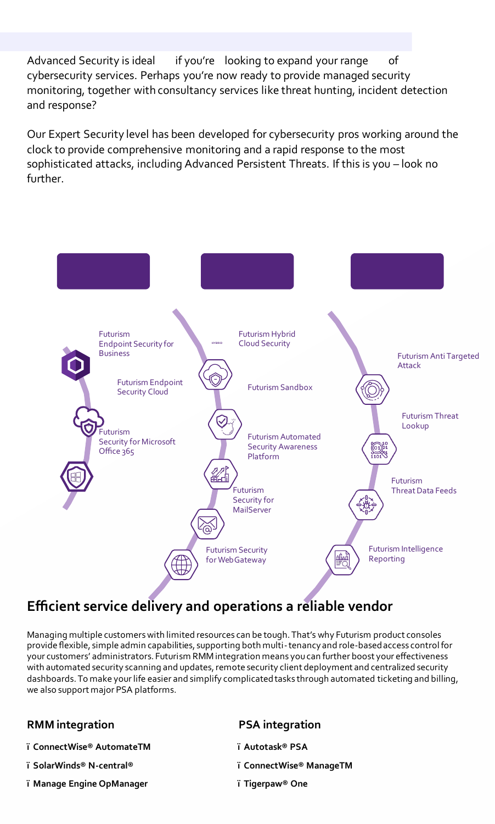Advanced Security is ideal if you're looking to expand your range of cybersecurity services. Perhaps you're now ready to provide managed security monitoring, together with consultancy services like threat hunting, incident detection and response?

Our Expert Security level has been developed for cybersecurity pros working around the clock to provide comprehensive monitoring and a rapid response to the most sophisticated attacks, including Advanced Persistent Threats. If this is you – look no further.







## **Efficient service delivery and operations a reliable vendor**

Managing multiple customers with limited resources can be tough. That's why Futurism product consoles provide flexible, simple admin capabilities, supporting both multi-tenancy and role-based access control for your customers' administrators. Futurism RMM integration means you can further boost your effectiveness with automated security scanning and updates, remote security client deployment and centralized security dashboards. To make your life easier and simplify complicated tasks through automated ticketing and billing, we also support major PSA platforms.

## **RMM integration PSA integration**

- **ï ConnectWise® AutomateTM**
- **ï SolarWinds® N-central®**
- **ï Manage Engine OpManager**

- **ï Autotask® PSA**
- **ï ConnectWise® ManageTM**
- **ï Tigerpaw® One**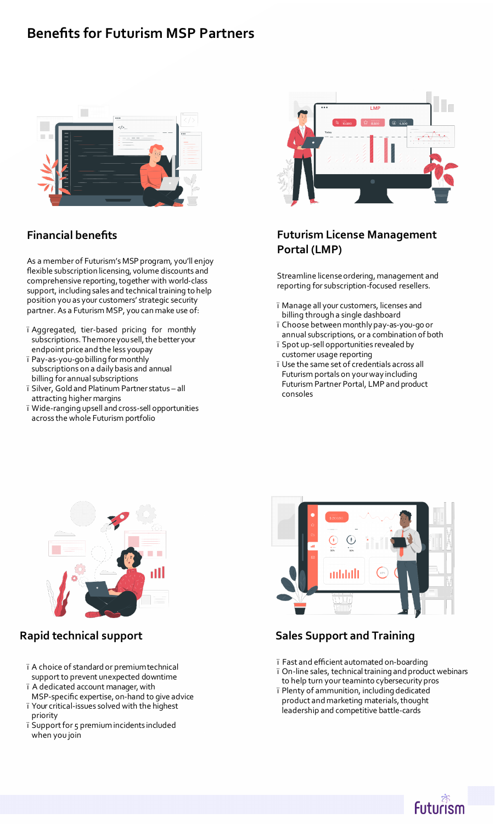## **Benefits for Futurism MSP Partners**



## **Financial benefits**

As a member of Futurism's MSP program, you'll enjoy flexible subscription licensing, volume discounts and comprehensive reporting, together with world-class support, including sales and technical training to help position you as your customers' strategic security partner. As a Futurism MSP, you can make use of:

- ï Aggregated, tier-based pricing for monthly subscriptions. The more you sell, the better your endpoint price and the less youpay
- ï Pay-as-you-go billing for monthly subscriptions on a daily basis and annual billing for annual subscriptions
- ï Silver, Gold and Platinum Partner status all attracting higher margins
- ï Wide-ranging upsell and cross-sell opportunities across the whole Futurism portfolio

## **Futurism License Management Portal (LMP)**

Streamline license ordering, management and reporting for subscription-focused resellers.

- ï Manage all your customers, licenses and billing through a single dashboard
- ï Choose between monthly pay-as-you-go or annual subscriptions, or a combination of both
- ï Spot up-sell opportunities revealed by customer usage reporting
- ï Use the same set of credentials across all Futurism portals on your way including Futurism Partner Portal, LMP and product consoles





 **Rapid technical support**

- ï A choice of standard or premiumtechnical support to prevent unexpected downtime
- ï A dedicated account manager,with MSP-specific expertise, on-hand to give advice
- ï Your critical-issues solved with the highest priority
- ï Support for 5 premium incidents included when you join

## **Sales Support and Training**

ï Fast and efficient automated on-boarding ï On-line sales, technical training and product webinars to help turn your teaminto cybersecurity pros ï Plenty of ammunition, including dedicated product and marketing materials, thought leadership and competitive battle-cards